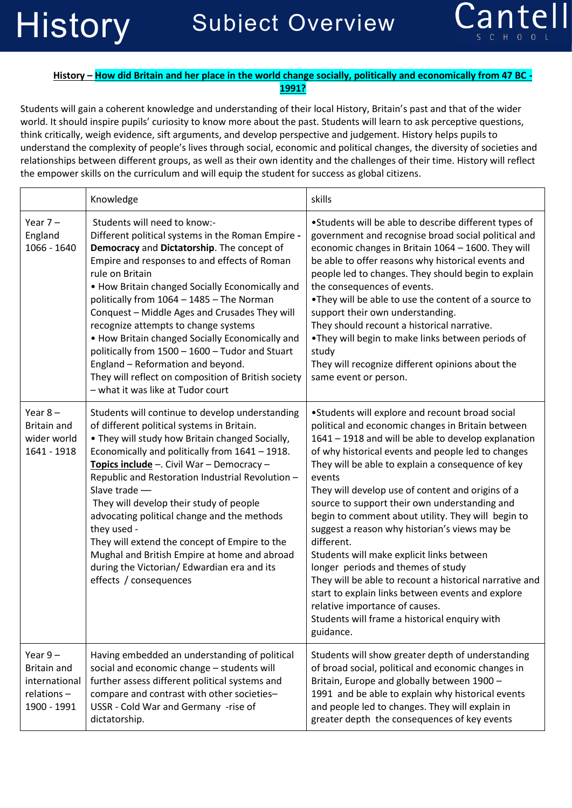

## **History – How did Britain and her place in the world change socially, politically and economically from 47 BC - 1991?**

Students will gain a coherent knowledge and understanding of their local History, Britain's past and that of the wider world. It should inspire pupils' curiosity to know more about the past. Students will learn to ask perceptive questions, think critically, weigh evidence, sift arguments, and develop perspective and judgement. History helps pupils to understand the complexity of people's lives through social, economic and political changes, the diversity of societies and relationships between different groups, as well as their own identity and the challenges of their time. History will reflect the empower skills on the curriculum and will equip the student for success as global citizens.

|                                                                               | Knowledge                                                                                                                                                                                                                                                                                                                                                                                                                                                                                                                                                                                                                          | skills                                                                                                                                                                                                                                                                                                                                                                                                                                                                                                                                                                                                                                                                                                                                                                                                         |
|-------------------------------------------------------------------------------|------------------------------------------------------------------------------------------------------------------------------------------------------------------------------------------------------------------------------------------------------------------------------------------------------------------------------------------------------------------------------------------------------------------------------------------------------------------------------------------------------------------------------------------------------------------------------------------------------------------------------------|----------------------------------------------------------------------------------------------------------------------------------------------------------------------------------------------------------------------------------------------------------------------------------------------------------------------------------------------------------------------------------------------------------------------------------------------------------------------------------------------------------------------------------------------------------------------------------------------------------------------------------------------------------------------------------------------------------------------------------------------------------------------------------------------------------------|
| Year $7-$<br>England<br>1066 - 1640                                           | Students will need to know:-<br>Different political systems in the Roman Empire -<br>Democracy and Dictatorship. The concept of<br>Empire and responses to and effects of Roman<br>rule on Britain<br>• How Britain changed Socially Economically and<br>politically from 1064 - 1485 - The Norman<br>Conquest - Middle Ages and Crusades They will<br>recognize attempts to change systems<br>. How Britain changed Socially Economically and<br>politically from 1500 - 1600 - Tudor and Stuart<br>England - Reformation and beyond.<br>They will reflect on composition of British society<br>- what it was like at Tudor court | •Students will be able to describe different types of<br>government and recognise broad social political and<br>economic changes in Britain 1064 - 1600. They will<br>be able to offer reasons why historical events and<br>people led to changes. They should begin to explain<br>the consequences of events.<br>. They will be able to use the content of a source to<br>support their own understanding.<br>They should recount a historical narrative.<br>. They will begin to make links between periods of<br>study<br>They will recognize different opinions about the<br>same event or person.                                                                                                                                                                                                         |
| Year $8-$<br><b>Britain and</b><br>wider world<br>1641 - 1918                 | Students will continue to develop understanding<br>of different political systems in Britain.<br>. They will study how Britain changed Socially,<br>Economically and politically from 1641 - 1918.<br>Topics include -. Civil War - Democracy -<br>Republic and Restoration Industrial Revolution -<br>Slave trade -<br>They will develop their study of people<br>advocating political change and the methods<br>they used -<br>They will extend the concept of Empire to the<br>Mughal and British Empire at home and abroad<br>during the Victorian/ Edwardian era and its<br>effects / consequences                            | •Students will explore and recount broad social<br>political and economic changes in Britain between<br>1641 - 1918 and will be able to develop explanation<br>of why historical events and people led to changes<br>They will be able to explain a consequence of key<br>events<br>They will develop use of content and origins of a<br>source to support their own understanding and<br>begin to comment about utility. They will begin to<br>suggest a reason why historian's views may be<br>different.<br>Students will make explicit links between<br>longer periods and themes of study<br>They will be able to recount a historical narrative and<br>start to explain links between events and explore<br>relative importance of causes.<br>Students will frame a historical enquiry with<br>guidance. |
| Year $9-$<br><b>Britain and</b><br>international<br>relations-<br>1900 - 1991 | Having embedded an understanding of political<br>social and economic change - students will<br>further assess different political systems and<br>compare and contrast with other societies-<br>USSR - Cold War and Germany -rise of<br>dictatorship.                                                                                                                                                                                                                                                                                                                                                                               | Students will show greater depth of understanding<br>of broad social, political and economic changes in<br>Britain, Europe and globally between 1900 -<br>1991 and be able to explain why historical events<br>and people led to changes. They will explain in<br>greater depth the consequences of key events                                                                                                                                                                                                                                                                                                                                                                                                                                                                                                 |